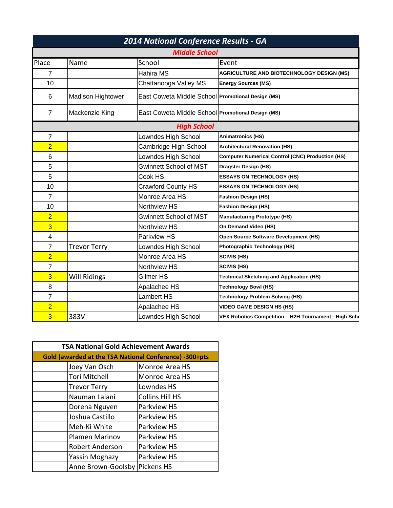| 2014 National Conference Results - GA<br><b>Middle School</b> |                          |                                                   |                                                         |  |  |       |
|---------------------------------------------------------------|--------------------------|---------------------------------------------------|---------------------------------------------------------|--|--|-------|
|                                                               |                          |                                                   |                                                         |  |  | Place |
| $\overline{7}$                                                |                          | Hahira MS                                         | <b>AGRICULTURE AND BIOTECHNOLOGY DESIGN (MS)</b>        |  |  |       |
| 10                                                            |                          | Chattanooga Valley MS                             | <b>Energy Sources (MS)</b>                              |  |  |       |
| 6                                                             | <b>Madison Hightower</b> | East Coweta Middle School Promotional Design (MS) |                                                         |  |  |       |
| $\overline{7}$                                                | Mackenzie King           | East Coweta Middle School Promotional Design (MS) |                                                         |  |  |       |
|                                                               | <b>High School</b>       |                                                   |                                                         |  |  |       |
| 7                                                             |                          | Lowndes High School                               | <b>Animatronics (HS)</b>                                |  |  |       |
| $\overline{2}$                                                |                          | Cambridge High School                             | <b>Architectural Renovation (HS)</b>                    |  |  |       |
| 6                                                             |                          | Lowndes High School                               | <b>Computer Numerical Control (CNC) Production (HS)</b> |  |  |       |
| 5                                                             |                          | <b>Gwinnett School of MST</b>                     | <b>Dragster Design (HS)</b>                             |  |  |       |
| 5                                                             |                          | Cook HS                                           | <b>ESSAYS ON TECHNOLOGY (HS)</b>                        |  |  |       |
| 10                                                            |                          | <b>Crawford County HS</b>                         | <b>ESSAYS ON TECHNOLOGY (HS)</b>                        |  |  |       |
| $\overline{7}$                                                |                          | Monroe Area HS                                    | <b>Fashion Design (HS)</b>                              |  |  |       |
| 10                                                            |                          | Northview HS                                      | <b>Fashion Design (HS)</b>                              |  |  |       |
| $\overline{2}$                                                |                          | <b>Gwinnett School of MST</b>                     | <b>Manufacturing Prototype (HS)</b>                     |  |  |       |
| 3                                                             |                          | <b>Northview HS</b>                               | On Demand Video (HS)                                    |  |  |       |
| 4                                                             |                          | Parkview HS                                       | Open Source Software Development (HS)                   |  |  |       |
| $\overline{7}$                                                | <b>Trevor Terry</b>      | Lowndes High School                               | <b>Photographic Technology (HS)</b>                     |  |  |       |
| $\overline{2}$                                                |                          | Monroe Area HS                                    | <b>SCIVIS (HS)</b>                                      |  |  |       |
| $\overline{7}$                                                |                          | Northview HS                                      | <b>SCIVIS (HS)</b>                                      |  |  |       |
| 3                                                             | Will Ridings             | Gilmer HS                                         | <b>Technical Sketching and Application (HS)</b>         |  |  |       |
| 8                                                             |                          | Apalachee HS                                      | <b>Technology Bowl (HS)</b>                             |  |  |       |
| $\overline{7}$                                                |                          | Lambert HS                                        | Technology Problem Solving (HS)                         |  |  |       |
| $\overline{2}$                                                |                          | Apalachee HS                                      | <b>VIDEO GAME DESIGN HS (HS)</b>                        |  |  |       |
| 3                                                             | 383V                     | Lowndes High School                               | VEX Robotics Competition - H2H Tournament - High Scho   |  |  |       |

| <b>TSA National Gold Achievement Awards</b>            |                        |  |  |  |
|--------------------------------------------------------|------------------------|--|--|--|
| Gold (awarded at the TSA National Conference) -300+pts |                        |  |  |  |
| Joey Van Osch                                          | Monroe Area HS         |  |  |  |
| <b>Tori Mitchell</b>                                   | Monroe Area HS         |  |  |  |
| <b>Trevor Terry</b>                                    | Lowndes HS             |  |  |  |
| Nauman Lalani                                          | <b>Collins Hill HS</b> |  |  |  |
| Dorena Nguyen                                          | Parkview HS            |  |  |  |
| Joshua Castillo                                        | Parkview HS            |  |  |  |
| Meh-Ki White                                           | Parkview HS            |  |  |  |
| <b>Plamen Marinov</b>                                  | Parkview HS            |  |  |  |
| Robert Anderson                                        | Parkview HS            |  |  |  |
| Yassin Moghazy                                         | Parkview HS            |  |  |  |
| Anne Brown-Goolsby Pickens HS                          |                        |  |  |  |